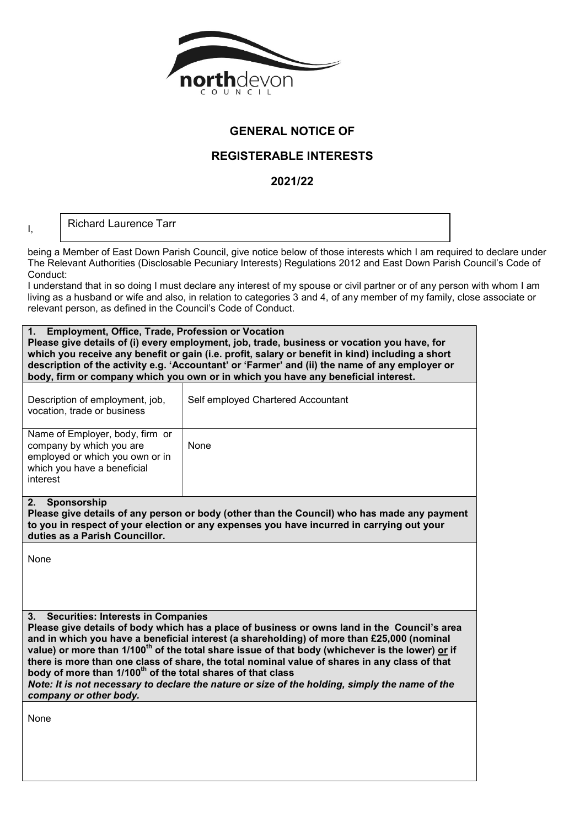

## GENERAL NOTICE OF

## REGISTERABLE INTERESTS

2021/22

Richard Laurence Tarr

I,

being a Member of East Down Parish Council, give notice below of those interests which I am required to declare under The Relevant Authorities (Disclosable Pecuniary Interests) Regulations 2012 and East Down Parish Council's Code of Conduct:

I understand that in so doing I must declare any interest of my spouse or civil partner or of any person with whom I am living as a husband or wife and also, in relation to categories 3 and 4, of any member of my family, close associate or relevant person, as defined in the Council's Code of Conduct.

| 1. Employment, Office, Trade, Profession or Vocation<br>Please give details of (i) every employment, job, trade, business or vocation you have, for<br>which you receive any benefit or gain (i.e. profit, salary or benefit in kind) including a short<br>description of the activity e.g. 'Accountant' or 'Farmer' and (ii) the name of any employer or<br>body, firm or company which you own or in which you have any beneficial interest.                                                                                                                                                                                                                        |                                    |  |
|-----------------------------------------------------------------------------------------------------------------------------------------------------------------------------------------------------------------------------------------------------------------------------------------------------------------------------------------------------------------------------------------------------------------------------------------------------------------------------------------------------------------------------------------------------------------------------------------------------------------------------------------------------------------------|------------------------------------|--|
| Description of employment, job,<br>vocation, trade or business                                                                                                                                                                                                                                                                                                                                                                                                                                                                                                                                                                                                        | Self employed Chartered Accountant |  |
| Name of Employer, body, firm or<br>company by which you are<br>employed or which you own or in<br>which you have a beneficial<br>interest                                                                                                                                                                                                                                                                                                                                                                                                                                                                                                                             | None                               |  |
| 2.<br>Sponsorship<br>Please give details of any person or body (other than the Council) who has made any payment<br>to you in respect of your election or any expenses you have incurred in carrying out your<br>duties as a Parish Councillor.                                                                                                                                                                                                                                                                                                                                                                                                                       |                                    |  |
| None                                                                                                                                                                                                                                                                                                                                                                                                                                                                                                                                                                                                                                                                  |                                    |  |
| <b>Securities: Interests in Companies</b><br>3.<br>Please give details of body which has a place of business or owns land in the Council's area<br>and in which you have a beneficial interest (a shareholding) of more than £25,000 (nominal<br>value) or more than 1/100 <sup>th</sup> of the total share issue of that body (whichever is the lower) or if<br>there is more than one class of share, the total nominal value of shares in any class of that<br>body of more than 1/100 <sup>th</sup> of the total shares of that class<br>Note: It is not necessary to declare the nature or size of the holding, simply the name of the<br>company or other body. |                                    |  |
| None                                                                                                                                                                                                                                                                                                                                                                                                                                                                                                                                                                                                                                                                  |                                    |  |